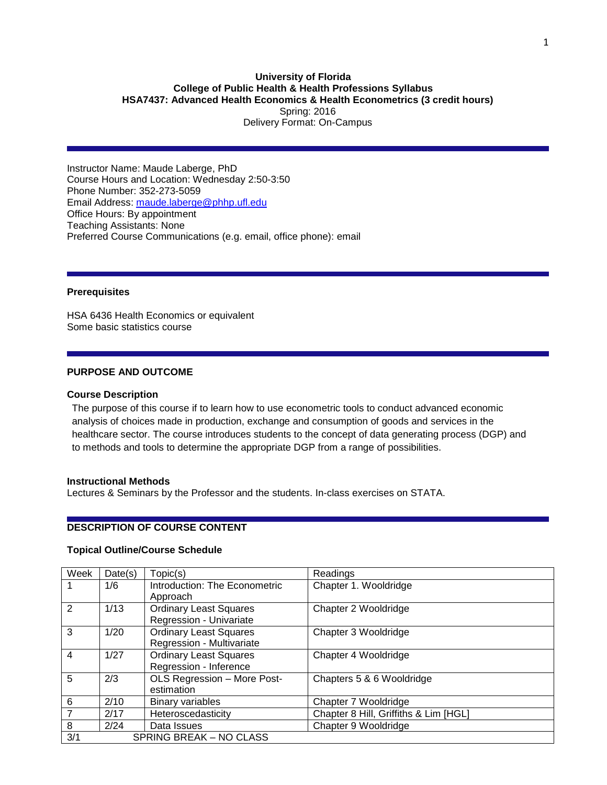### **University of Florida College of Public Health & Health Professions Syllabus HSA7437: Advanced Health Economics & Health Econometrics (3 credit hours)** Spring: 2016 Delivery Format: On-Campus

Instructor Name: Maude Laberge, PhD Course Hours and Location: Wednesday 2:50-3:50 Phone Number: 352-273-5059 Email Address: [maude.laberge@phhp.ufl.edu](mailto:maude.laberge@phhp.ufl.edu) Office Hours: By appointment Teaching Assistants: None Preferred Course Communications (e.g. email, office phone): email

#### **Prerequisites**

HSA 6436 Health Economics or equivalent Some basic statistics course

### **PURPOSE AND OUTCOME**

#### **Course Description**

The purpose of this course if to learn how to use econometric tools to conduct advanced economic analysis of choices made in production, exchange and consumption of goods and services in the healthcare sector. The course introduces students to the concept of data generating process (DGP) and to methods and tools to determine the appropriate DGP from a range of possibilities.

#### **Instructional Methods**

Lectures & Seminars by the Professor and the students. In-class exercises on STATA.

### **DESCRIPTION OF COURSE CONTENT**

#### **Topical Outline/Course Schedule**

| Week           | Date(s) | Topic(s)                      | Readings                              |
|----------------|---------|-------------------------------|---------------------------------------|
|                | 1/6     | Introduction: The Econometric | Chapter 1. Wooldridge                 |
|                |         | Approach                      |                                       |
| 2              | 1/13    | <b>Ordinary Least Squares</b> | Chapter 2 Wooldridge                  |
|                |         | Regression - Univariate       |                                       |
| 3              | 1/20    | <b>Ordinary Least Squares</b> | Chapter 3 Wooldridge                  |
|                |         | Regression - Multivariate     |                                       |
| $\overline{4}$ | 1/27    | <b>Ordinary Least Squares</b> | Chapter 4 Wooldridge                  |
|                |         | Regression - Inference        |                                       |
| 5              | 2/3     | OLS Regression - More Post-   | Chapters 5 & 6 Wooldridge             |
|                |         | estimation                    |                                       |
| 6              | 2/10    | <b>Binary variables</b>       | Chapter 7 Wooldridge                  |
| $\overline{7}$ | 2/17    | Heteroscedasticity            | Chapter 8 Hill, Griffiths & Lim [HGL] |
| 8              | 2/24    | Data Issues                   | Chapter 9 Wooldridge                  |
| 3/1            |         | SPRING BREAK - NO CLASS       |                                       |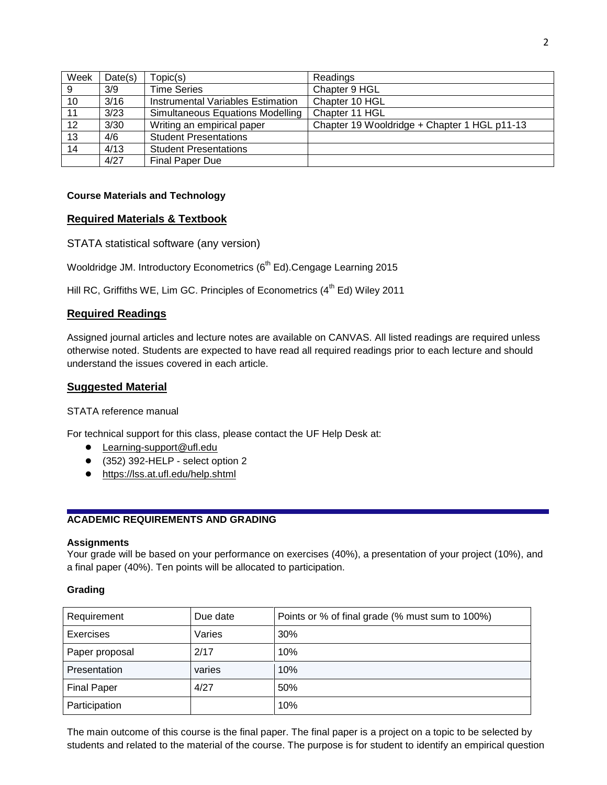| Week | Date(s) | Topic(s)                          | Readings                                     |
|------|---------|-----------------------------------|----------------------------------------------|
| 9    | 3/9     | <b>Time Series</b>                | Chapter 9 HGL                                |
| 10   | 3/16    | Instrumental Variables Estimation | Chapter 10 HGL                               |
| 11   | 3/23    | Simultaneous Equations Modelling  | Chapter 11 HGL                               |
| 12   | 3/30    | Writing an empirical paper        | Chapter 19 Wooldridge + Chapter 1 HGL p11-13 |
| 13   | 4/6     | <b>Student Presentations</b>      |                                              |
| 14   | 4/13    | <b>Student Presentations</b>      |                                              |
|      | 4/27    | Final Paper Due                   |                                              |

## **Course Materials and Technology**

## **Required Materials & Textbook**

STATA statistical software (any version)

Wooldridge JM. Introductory Econometrics (6<sup>th</sup> Ed).Cengage Learning 2015

Hill RC, Griffiths WE, Lim GC. Principles of Econometrics  $(4^{th}$  Ed) Wiley 2011

# **Required Readings**

Assigned journal articles and lecture notes are available on CANVAS. All listed readings are required unless otherwise noted. Students are expected to have read all required readings prior to each lecture and should understand the issues covered in each article.

## **Suggested Material**

## STATA reference manual

For technical support for this class, please contact the UF Help Desk at:

- [Learning-support@ufl.edu](file:///C:/Users/hackg/Desktop/Learning-support@ufl.edu)
- (352) 392-HELP select option 2
- <https://lss.at.ufl.edu/help.shtml>

# **ACADEMIC REQUIREMENTS AND GRADING**

### **Assignments**

Your grade will be based on your performance on exercises (40%), a presentation of your project (10%), and a final paper (40%). Ten points will be allocated to participation.

# **Grading**

| Requirement        | Due date | Points or % of final grade (% must sum to 100%) |  |  |  |  |  |
|--------------------|----------|-------------------------------------------------|--|--|--|--|--|
| <b>Exercises</b>   | Varies   | 30%                                             |  |  |  |  |  |
| Paper proposal     | 2/17     | 10%                                             |  |  |  |  |  |
| Presentation       | varies   | 10%                                             |  |  |  |  |  |
| <b>Final Paper</b> | 4/27     | 50%                                             |  |  |  |  |  |
| Participation      |          | 10%                                             |  |  |  |  |  |

The main outcome of this course is the final paper. The final paper is a project on a topic to be selected by students and related to the material of the course. The purpose is for student to identify an empirical question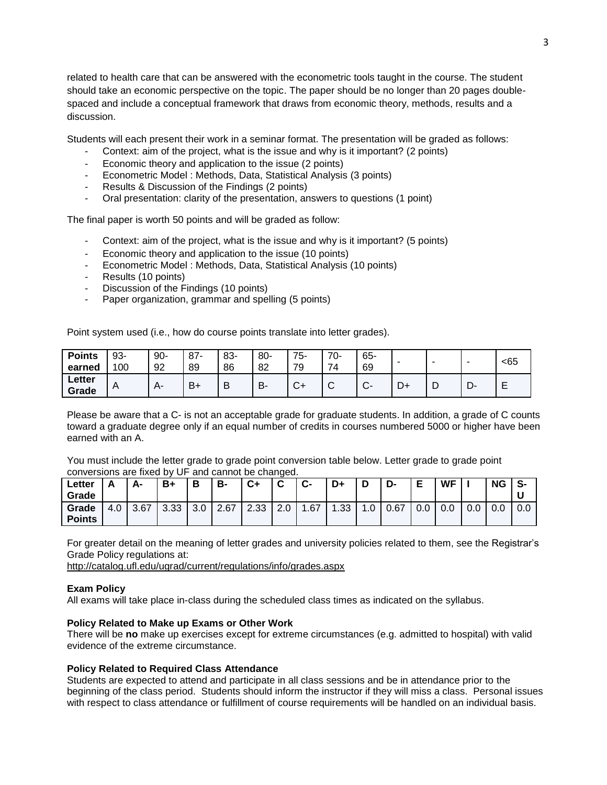related to health care that can be answered with the econometric tools taught in the course. The student should take an economic perspective on the topic. The paper should be no longer than 20 pages doublespaced and include a conceptual framework that draws from economic theory, methods, results and a discussion.

Students will each present their work in a seminar format. The presentation will be graded as follows:

- Context: aim of the project, what is the issue and why is it important? (2 points)
- Economic theory and application to the issue (2 points)
- Econometric Model : Methods, Data, Statistical Analysis (3 points)
- Results & Discussion of the Findings (2 points)
- Oral presentation: clarity of the presentation, answers to questions (1 point)

The final paper is worth 50 points and will be graded as follow:

- Context: aim of the project, what is the issue and why is it important? (5 points)
- Economic theory and application to the issue (10 points)
- Econometric Model : Methods, Data, Statistical Analysis (10 points)
- Results (10 points)
- Discussion of the Findings (10 points)
- Paper organization, grammar and spelling (5 points)

Point system used (i.e., how do course points translate into letter grades).

| <b>Points</b><br>earned | 93-<br>100   | $90-$<br>92 | $87 -$<br>89 | 83-<br>86 | $80 -$<br>82 | 75-<br>70<br>◡ | 70-<br>74   | $65 -$<br>69 |    |   | -  | <65    |
|-------------------------|--------------|-------------|--------------|-----------|--------------|----------------|-------------|--------------|----|---|----|--------|
| Letter<br>Grade         | $\mathsf{A}$ | $A-$        | $B+$         | B         | -B           | $\sim$<br>◡┑   | $\sim$<br>ັ | ⌒<br>یں      | D+ | ┕ | -ت | -<br>- |

Please be aware that a C- is not an acceptable grade for graduate students. In addition, a grade of C counts toward a graduate degree only if an equal number of credits in courses numbered 5000 or higher have been earned with an A.

You must include the letter grade to grade point conversion table below. Letter grade to grade point conversions are fixed by UF and cannot be changed.

| Letter        |     | А-   | <b>B</b> + | Ð   | <b>B-</b> | $C+$ | $\sim$<br>v | $\sim$<br>ს- | D+               | ◡   | D-   |     | <b>WF</b> |     | <b>NG</b> | S-  |
|---------------|-----|------|------------|-----|-----------|------|-------------|--------------|------------------|-----|------|-----|-----------|-----|-----------|-----|
| Grade         |     |      |            |     |           |      |             |              |                  |     |      |     |           |     |           |     |
| Grade         | 4.0 | 3.67 | 3.33       | 3.0 | 2.67      | 2.33 | 2.0         | .67          | .33 <sub>1</sub> | 1.0 | 0.67 | 0.0 | 0.0       | 0.0 | 0.0       | 0.0 |
| <b>Points</b> |     |      |            |     |           |      |             |              |                  |     |      |     |           |     |           |     |

For greater detail on the meaning of letter grades and university policies related to them, see the Registrar's Grade Policy regulations at:

<http://catalog.ufl.edu/ugrad/current/regulations/info/grades.aspx>

### **Exam Policy**

All exams will take place in-class during the scheduled class times as indicated on the syllabus.

### **Policy Related to Make up Exams or Other Work**

There will be **no** make up exercises except for extreme circumstances (e.g. admitted to hospital) with valid evidence of the extreme circumstance.

#### **Policy Related to Required Class Attendance**

Students are expected to attend and participate in all class sessions and be in attendance prior to the beginning of the class period. Students should inform the instructor if they will miss a class. Personal issues with respect to class attendance or fulfillment of course requirements will be handled on an individual basis.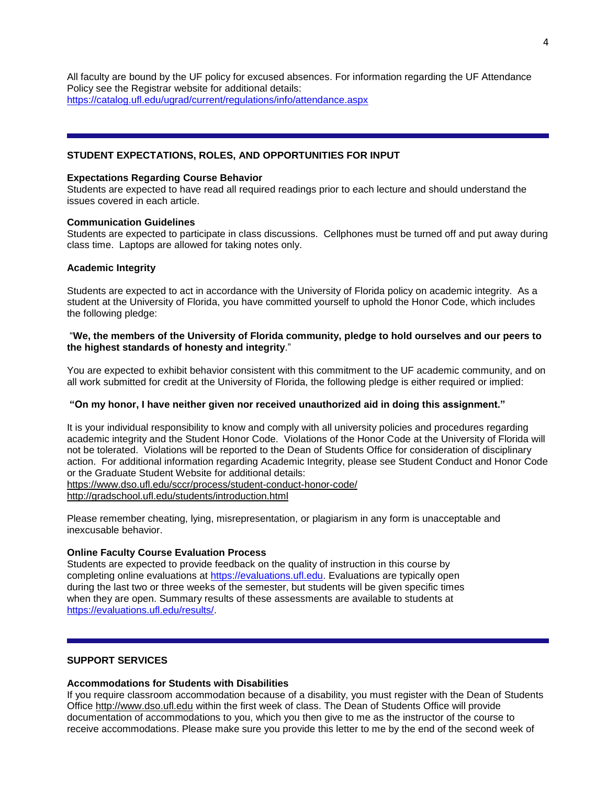All faculty are bound by the UF policy for excused absences. For information regarding the UF Attendance Policy see the Registrar website for additional details: <https://catalog.ufl.edu/ugrad/current/regulations/info/attendance.aspx>

## **STUDENT EXPECTATIONS, ROLES, AND OPPORTUNITIES FOR INPUT**

#### **Expectations Regarding Course Behavior**

Students are expected to have read all required readings prior to each lecture and should understand the issues covered in each article.

#### **Communication Guidelines**

Students are expected to participate in class discussions. Cellphones must be turned off and put away during class time. Laptops are allowed for taking notes only.

#### **Academic Integrity**

Students are expected to act in accordance with the University of Florida policy on academic integrity. As a student at the University of Florida, you have committed yourself to uphold the Honor Code, which includes the following pledge:

#### "**We, the members of the University of Florida community, pledge to hold ourselves and our peers to the highest standards of honesty and integrity**."

You are expected to exhibit behavior consistent with this commitment to the UF academic community, and on all work submitted for credit at the University of Florida, the following pledge is either required or implied:

### **"On my honor, I have neither given nor received unauthorized aid in doing this assignment."**

It is your individual responsibility to know and comply with all university policies and procedures regarding academic integrity and the Student Honor Code. Violations of the Honor Code at the University of Florida will not be tolerated. Violations will be reported to the Dean of Students Office for consideration of disciplinary action. For additional information regarding Academic Integrity, please see Student Conduct and Honor Code or the Graduate Student Website for additional details: <https://www.dso.ufl.edu/sccr/process/student-conduct-honor-code/>

<http://gradschool.ufl.edu/students/introduction.html>

Please remember cheating, lying, misrepresentation, or plagiarism in any form is unacceptable and inexcusable behavior.

### **Online Faculty Course Evaluation Process**

Students are expected to provide feedback on the quality of instruction in this course by completing online evaluations at [https://evaluations.ufl.edu.](https://evaluations.ufl.edu/) Evaluations are typically open during the last two or three weeks of the semester, but students will be given specific times when they are open. Summary results of these assessments are available to students at [https://evaluations.ufl.edu/results/.](https://evaluations.ufl.edu/results/)

### **SUPPORT SERVICES**

### **Accommodations for Students with Disabilities**

If you require classroom accommodation because of a disability, you must register with the Dean of Students Office [http://www.dso.ufl.edu](http://www.dso.ufl.edu/) within the first week of class. The Dean of Students Office will provide documentation of accommodations to you, which you then give to me as the instructor of the course to receive accommodations. Please make sure you provide this letter to me by the end of the second week of